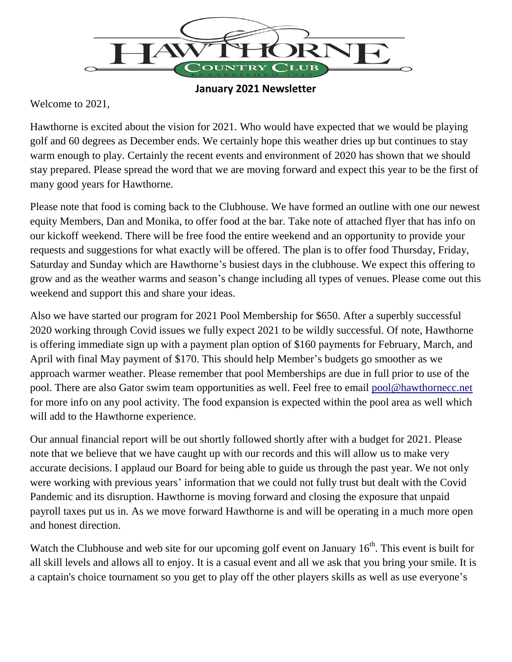

**January 2021 Newsletter**

Welcome to 2021,

Hawthorne is excited about the vision for 2021. Who would have expected that we would be playing golf and 60 degrees as December ends. We certainly hope this weather dries up but continues to stay warm enough to play. Certainly the recent events and environment of 2020 has shown that we should stay prepared. Please spread the word that we are moving forward and expect this year to be the first of many good years for Hawthorne.

Please note that food is coming back to the Clubhouse. We have formed an outline with one our newest equity Members, Dan and Monika, to offer food at the bar. Take note of attached flyer that has info on our kickoff weekend. There will be free food the entire weekend and an opportunity to provide your requests and suggestions for what exactly will be offered. The plan is to offer food Thursday, Friday, Saturday and Sunday which are Hawthorne's busiest days in the clubhouse. We expect this offering to grow and as the weather warms and season's change including all types of venues. Please come out this weekend and support this and share your ideas.

Also we have started our program for 2021 Pool Membership for \$650. After a superbly successful 2020 working through Covid issues we fully expect 2021 to be wildly successful. Of note, Hawthorne is offering immediate sign up with a payment plan option of \$160 payments for February, March, and April with final May payment of \$170. This should help Member's budgets go smoother as we approach warmer weather. Please remember that pool Memberships are due in full prior to use of the pool. There are also Gator swim team opportunities as well. Feel free to email [pool@hawthornecc.net](mailto:pool@hawthornecc.net) for more info on any pool activity. The food expansion is expected within the pool area as well which will add to the Hawthorne experience.

Our annual financial report will be out shortly followed shortly after with a budget for 2021. Please note that we believe that we have caught up with our records and this will allow us to make very accurate decisions. I applaud our Board for being able to guide us through the past year. We not only were working with previous years' information that we could not fully trust but dealt with the Covid Pandemic and its disruption. Hawthorne is moving forward and closing the exposure that unpaid payroll taxes put us in. As we move forward Hawthorne is and will be operating in a much more open and honest direction.

Watch the Clubhouse and web site for our upcoming golf event on January  $16<sup>th</sup>$ . This event is built for all skill levels and allows all to enjoy. It is a casual event and all we ask that you bring your smile. It is a captain's choice tournament so you get to play off the other players skills as well as use everyone's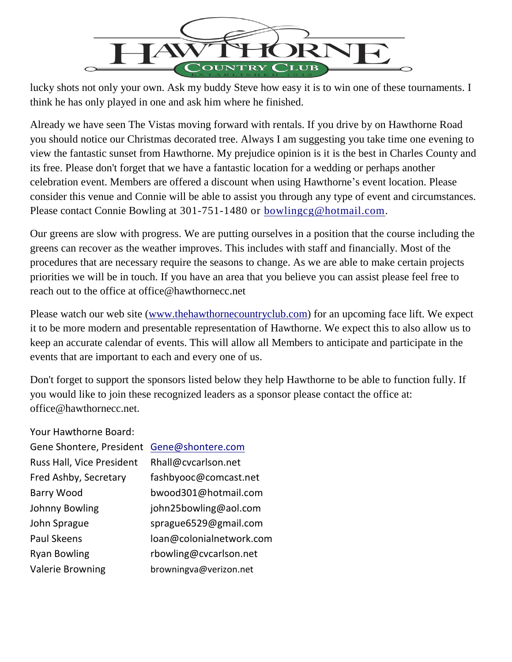

lucky shots not only your own. Ask my buddy Steve how easy it is to win one of these tournaments. I think he has only played in one and ask him where he finished.

Already we have seen The Vistas moving forward with rentals. If you drive by on Hawthorne Road you should notice our Christmas decorated tree. Always I am suggesting you take time one evening to view the fantastic sunset from Hawthorne. My prejudice opinion is it is the best in Charles County and its free. Please don't forget that we have a fantastic location for a wedding or perhaps another celebration event. Members are offered a discount when using Hawthorne's event location. Please consider this venue and Connie will be able to assist you through any type of event and circumstances. Please contact Connie Bowling at 301-751-1480 or [bowlingcg@hotmail.com.](mailto:bowlingcg@hotmail.com)

Our greens are slow with progress. We are putting ourselves in a position that the course including the greens can recover as the weather improves. This includes with staff and financially. Most of the procedures that are necessary require the seasons to change. As we are able to make certain projects priorities we will be in touch. If you have an area that you believe you can assist please feel free to reach out to the office at office@hawthornecc.net

Please watch our web site [\(www.thehawthornecountryclub.com\)](http://www.thehawthornecountryclub.com/) for an upcoming face lift. We expect it to be more modern and presentable representation of Hawthorne. We expect this to also allow us to keep an accurate calendar of events. This will allow all Members to anticipate and participate in the events that are important to each and every one of us.

Don't forget to support the sponsors listed below they help Hawthorne to be able to function fully. If you would like to join these recognized leaders as a sponsor please contact the office at: office@hawthornecc.net.

Your Hawthorne Board:

| Gene Shontere, President  | Gene@shontere.com        |
|---------------------------|--------------------------|
| Russ Hall, Vice President | Rhall@cvcarlson.net      |
| Fred Ashby, Secretary     | fashbyooc@comcast.net    |
| <b>Barry Wood</b>         | bwood301@hotmail.com     |
| Johnny Bowling            | john25bowling@aol.com    |
| John Sprague              | sprague6529@gmail.com    |
| <b>Paul Skeens</b>        | loan@colonialnetwork.com |
| <b>Ryan Bowling</b>       | rbowling@cvcarlson.net   |
| <b>Valerie Browning</b>   | browningva@verizon.net   |